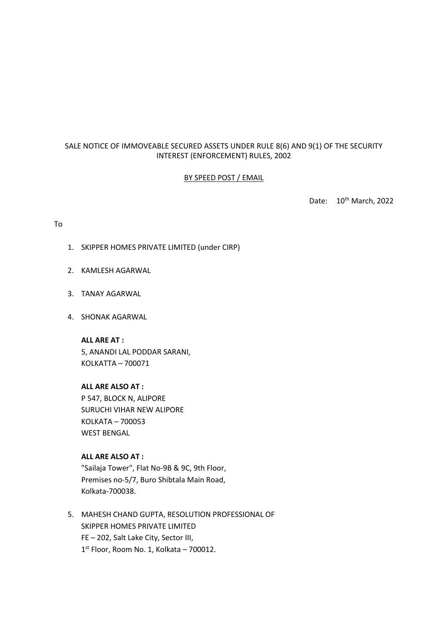# SALE NOTICE OF IMMOVEABLE SECURED ASSETS UNDER RULE 8(6) AND 9(1) OF THE SECURITY INTEREST (ENFORCEMENT) RULES, 2002

## BY SPEED POST / EMAIL

Date: 10<sup>th</sup> March, 2022

### To

- 1. SKIPPER HOMES PRIVATE LIMITED (under CIRP)
- 2. KAMLESH AGARWAL
- 3. TANAY AGARWAL
- 4. SHONAK AGARWAL

**ALL ARE AT :** 5, ANANDI LAL PODDAR SARANI, KOLKATTA – 700071

## **ALL ARE ALSO AT :**

P 547, BLOCK N, ALIPORE SURUCHI VIHAR NEW ALIPORE KOLKATA – 700053 WEST BENGAL

# **ALL ARE ALSO AT :**

"Sailaja Tower", Flat No-9B & 9C, 9th Floor, Premises no-5/7, Buro Shibtala Main Road, Kolkata-700038.

5. MAHESH CHAND GUPTA, RESOLUTION PROFESSIONAL OF SKIPPER HOMES PRIVATE LIMITED FE – 202, Salt Lake City, Sector III, 1 st Floor, Room No. 1, Kolkata – 700012.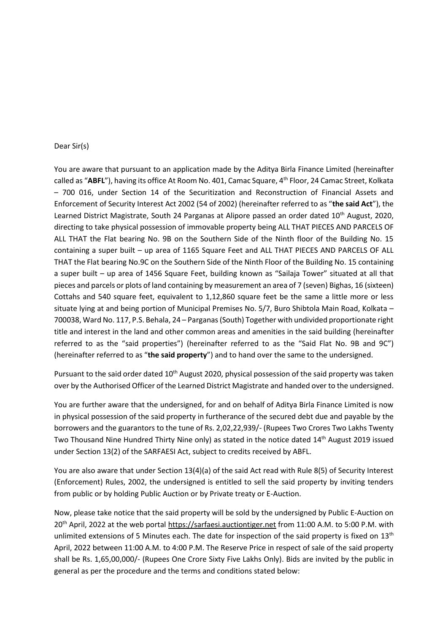#### Dear Sir(s)

You are aware that pursuant to an application made by the Aditya Birla Finance Limited (hereinafter called as "**ABFL**"), having its office At Room No. 401, Camac Square, 4th Floor, 24 Camac Street, Kolkata – 700 016, under Section 14 of the Securitization and Reconstruction of Financial Assets and Enforcement of Security Interest Act 2002 (54 of 2002) (hereinafter referred to as "**the said Act**"), the Learned District Magistrate, South 24 Parganas at Alipore passed an order dated 10<sup>th</sup> August, 2020, directing to take physical possession of immovable property being ALL THAT PIECES AND PARCELS OF ALL THAT the Flat bearing No. 9B on the Southern Side of the Ninth floor of the Building No. 15 containing a super built – up area of 1165 Square Feet and ALL THAT PIECES AND PARCELS OF ALL THAT the Flat bearing No.9C on the Southern Side of the Ninth Floor of the Building No. 15 containing a super built – up area of 1456 Square Feet, building known as "Sailaja Tower" situated at all that pieces and parcels or plots of land containing by measurement an area of 7 (seven) Bighas, 16 (sixteen) Cottahs and 540 square feet, equivalent to 1,12,860 square feet be the same a little more or less situate lying at and being portion of Municipal Premises No. 5/7, Buro Shibtola Main Road, Kolkata – 700038, Ward No. 117, P.S. Behala, 24 – Parganas (South) Together with undivided proportionate right title and interest in the land and other common areas and amenities in the said building (hereinafter referred to as the "said properties") (hereinafter referred to as the "Said Flat No. 9B and 9C") (hereinafter referred to as "**the said property**") and to hand over the same to the undersigned.

Pursuant to the said order dated 10<sup>th</sup> August 2020, physical possession of the said property was taken over by the Authorised Officer of the Learned District Magistrate and handed over to the undersigned.

You are further aware that the undersigned, for and on behalf of Aditya Birla Finance Limited is now in physical possession of the said property in furtherance of the secured debt due and payable by the borrowers and the guarantors to the tune of Rs. 2,02,22,939/- (Rupees Two Crores Two Lakhs Twenty Two Thousand Nine Hundred Thirty Nine only) as stated in the notice dated 14<sup>th</sup> August 2019 issued under Section 13(2) of the SARFAESI Act, subject to credits received by ABFL.

You are also aware that under Section 13(4)(a) of the said Act read with Rule 8(5) of Security Interest (Enforcement) Rules, 2002, the undersigned is entitled to sell the said property by inviting tenders from public or by holding Public Auction or by Private treaty or E-Auction.

Now, please take notice that the said property will be sold by the undersigned by Public E-Auction on 20th April, 2022 at the web portal https://sarfaesi.auctiontiger.net from 11:00 A.M. to 5:00 P.M. with unlimited extensions of 5 Minutes each. The date for inspection of the said property is fixed on  $13<sup>th</sup>$ April, 2022 between 11:00 A.M. to 4:00 P.M. The Reserve Price in respect of sale of the said property shall be Rs. 1,65,00,000/- (Rupees One Crore Sixty Five Lakhs Only). Bids are invited by the public in general as per the procedure and the terms and conditions stated below: